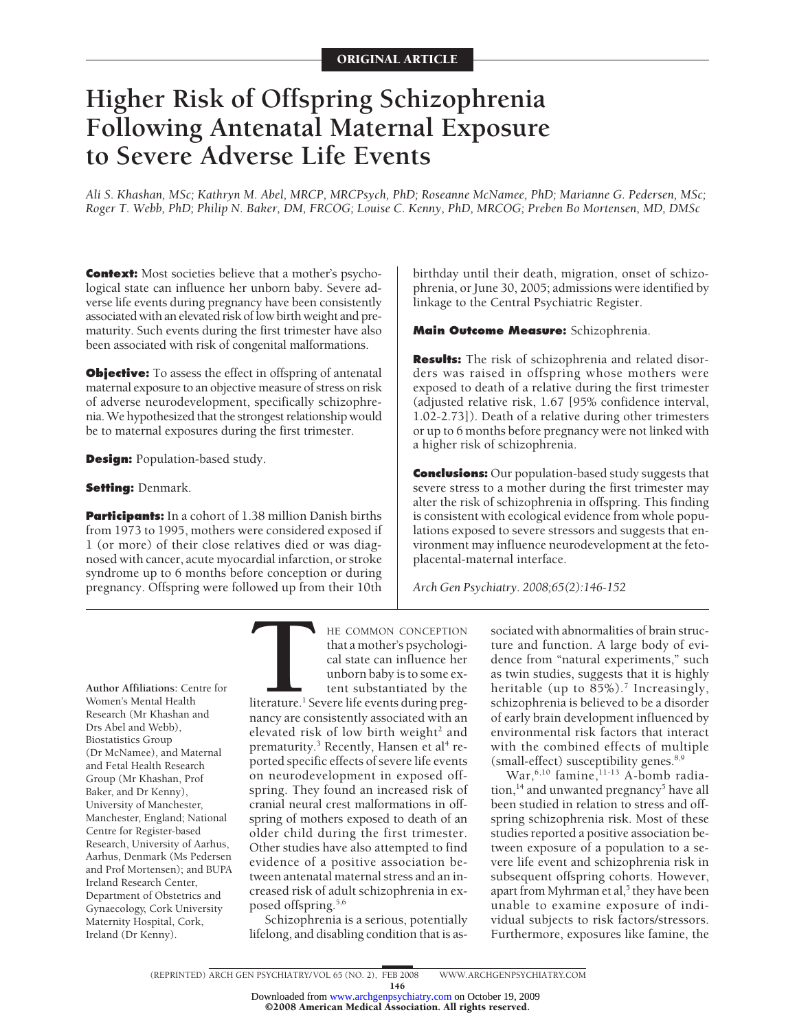## **Higher Risk of Offspring Schizophrenia Following Antenatal Maternal Exposure to Severe Adverse Life Events**

Ali S. Khashan, MSc; Kathryn M. Abel, MRCP, MRCPsych, PhD; Roseanne McNamee, PhD; Marianne G. Pedersen, MSc; Roger T. Webb, PhD; Philip N. Baker, DM, FRCOG; Louise C. Kenny, PhD, MRCOG; Preben Bo Mortensen, MD, DMSc

**Context:** Most societies believe that a mother's psychological state can influence her unborn baby. Severe adverse life events during pregnancy have been consistently associated with an elevated risk of low birth weight and prematurity. Such events during the first trimester have also been associated with risk of congenital malformations.

**Objective:** To assess the effect in offspring of antenatal maternal exposure to an objective measure of stress on risk of adverse neurodevelopment, specifically schizophrenia. We hypothesized that the strongest relationship would be to maternal exposures during the first trimester.

**Design:** Population-based study.

## **Setting:** Denmark.

**Participants:** In a cohort of 1.38 million Danish births from 1973 to 1995, mothers were considered exposed if 1 (or more) of their close relatives died or was diagnosed with cancer, acute myocardial infarction, or stroke syndrome up to 6 months before conception or during pregnancy. Offspring were followed up from their 10th

birthday until their death, migration, onset of schizophrenia, or June 30, 2005; admissions were identified by linkage to the Central Psychiatric Register.

**Main Outcome Measure:** Schizophrenia.

**Results:** The risk of schizophrenia and related disorders was raised in offspring whose mothers were exposed to death of a relative during the first trimester (adjusted relative risk, 1.67 [95% confidence interval, 1.02-2.73]). Death of a relative during other trimesters or up to 6 months before pregnancy were not linked with a higher risk of schizophrenia.

**Conclusions:** Our population-based study suggests that severe stress to a mother during the first trimester may alter the risk of schizophrenia in offspring. This finding is consistent with ecological evidence from whole populations exposed to severe stressors and suggests that environment may influence neurodevelopment at the fetoplacental-maternal interface.

*Arch Gen Psychiatry. 2008;65(2):146-152*

**Author Affiliations:** Centre for Women's Mental Health Research (Mr Khashan and Drs Abel and Webb), Biostatistics Group (Dr McNamee), and Maternal and Fetal Health Research Group (Mr Khashan, Prof Baker, and Dr Kenny), University of Manchester, Manchester, England; National Centre for Register-based Research, University of Aarhus, Aarhus, Denmark (Ms Pedersen and Prof Mortensen); and BUPA Ireland Research Center, Department of Obstetrics and Gynaecology, Cork University Maternity Hospital, Cork, Ireland (Dr Kenny).

HE COMMON CONCEPTION<br>that a mother's psychological<br>cal state can influence her<br>unborn baby is to some ex-<br>tent substantiated by the<br>literature.<sup>1</sup> Severe life events during preg-<br>nancy are consistently associated with an that a mother's psychological state can influence her unborn baby is to some extent substantiated by the

literature.<sup>1</sup> Severe life events during pregnancy are consistently associated with an elevated risk of low birth weight<sup>2</sup> and prematurity.<sup>3</sup> Recently, Hansen et al<sup>4</sup> reported specific effects of severe life events on neurodevelopment in exposed offspring. They found an increased risk of cranial neural crest malformations in offspring of mothers exposed to death of an older child during the first trimester. Other studies have also attempted to find evidence of a positive association between antenatal maternal stress and an increased risk of adult schizophrenia in exposed offspring.<sup>5,6</sup>

Schizophrenia is a serious, potentially lifelong, and disabling condition that is as-

sociated with abnormalities of brain structure and function. A large body of evidence from "natural experiments," such as twin studies, suggests that it is highly heritable (up to  $85\%$ ).<sup>7</sup> Increasingly, schizophrenia is believed to be a disorder of early brain development influenced by environmental risk factors that interact with the combined effects of multiple (small-effect) susceptibility genes.<sup>8,9</sup>

War,  $6,10$  famine,  $11-13$  A-bomb radiation,<sup>14</sup> and unwanted pregnancy<sup>5</sup> have all been studied in relation to stress and offspring schizophrenia risk. Most of these studies reported a positive association between exposure of a population to a severe life event and schizophrenia risk in subsequent offspring cohorts. However, apart from Myhrman et al,<sup>5</sup> they have been unable to examine exposure of individual subjects to risk factors/stressors. Furthermore, exposures like famine, the

146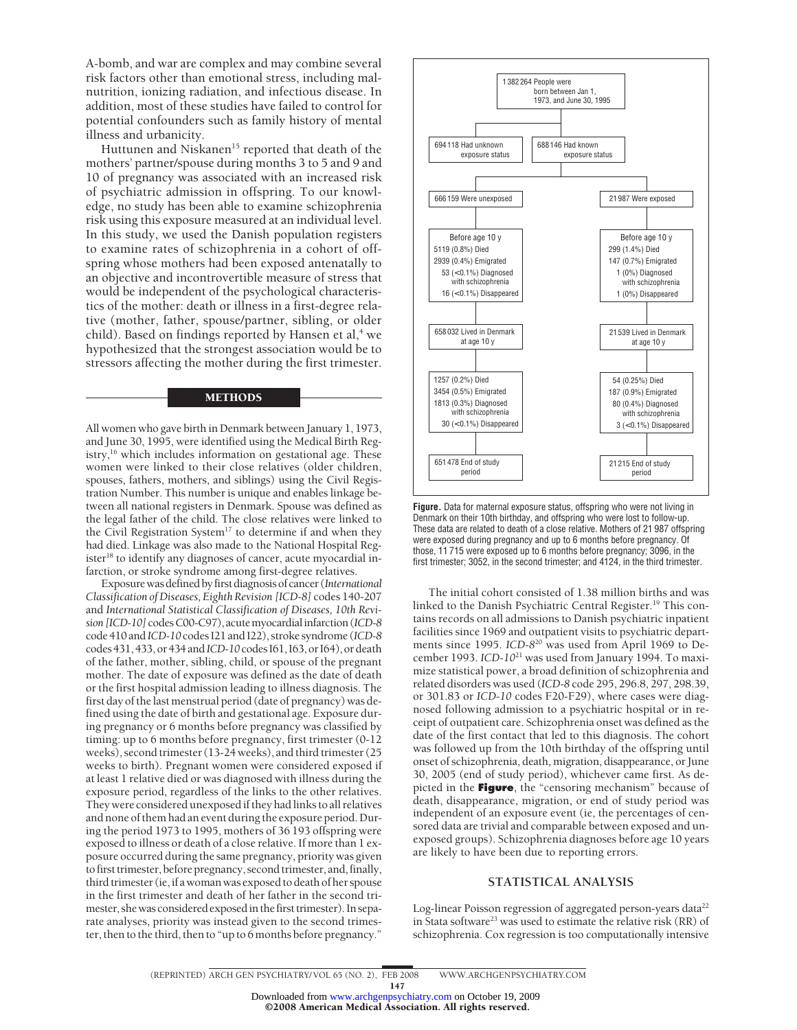A-bomb, and war are complex and may combine several risk factors other than emotional stress, including malnutrition, ionizing radiation, and infectious disease. In addition, most of these studies have failed to control for potential confounders such as family history of mental illness and urbanicity.

Huttunen and Niskanen<sup>15</sup> reported that death of the mothers' partner/spouse during months 3 to 5 and 9 and 10 of pregnancy was associated with an increased risk of psychiatric admission in offspring. To our knowledge, no study has been able to examine schizophrenia risk using this exposure measured at an individual level. In this study, we used the Danish population registers to examine rates of schizophrenia in a cohort of offspring whose mothers had been exposed antenatally to an objective and incontrovertible measure of stress that would be independent of the psychological characteristics of the mother: death or illness in a first-degree relative (mother, father, spouse/partner, sibling, or older child). Based on findings reported by Hansen et al,<sup>4</sup> we hypothesized that the strongest association would be to stressors affecting the mother during the first trimester.

## METHODS

All women who gave birth in Denmark between January 1, 1973, and June 30, 1995, were identified using the Medical Birth Registry,<sup>16</sup> which includes information on gestational age. These women were linked to their close relatives (older children, spouses, fathers, mothers, and siblings) using the Civil Registration Number. This number is unique and enables linkage between all national registers in Denmark. Spouse was defined as the legal father of the child. The close relatives were linked to the Civil Registration System<sup>17</sup> to determine if and when they had died. Linkage was also made to the National Hospital Register<sup>18</sup> to identify any diagnoses of cancer, acute myocardial infarction, or stroke syndrome among first-degree relatives.

Exposurewasdefinedbyfirstdiagnosisofcancer(*International Classification ofDiseases, Eighth Revision [ICD-8]* codes 140-207 and *International Statistical Classification of Diseases, 10th Revision [ICD-10]*codesC00-C97),acutemyocardialinfarction(*ICD-8* code 410 and *ICD-10*codes I21 and I22), stroke syndrome (*ICD-8* codes 431, 433, or 434 and *ICD-10* codes 161, 163, or 164), or death of the father, mother, sibling, child, or spouse of the pregnant mother. The date of exposure was defined as the date of death or the first hospital admission leading to illness diagnosis. The first day of the last menstrual period (date of pregnancy) was defined using the date of birth and gestational age. Exposure during pregnancy or 6 months before pregnancy was classified by timing: up to 6 months before pregnancy, first trimester (0-12 weeks), second trimester (13-24 weeks), and third trimester (25 weeks to birth). Pregnant women were considered exposed if at least 1 relative died or was diagnosed with illness during the exposure period, regardless of the links to the other relatives. They were considered unexposed if they had links to all relatives and none of them had an event during the exposure period. During the period 1973 to 1995, mothers of 36 193 offspring were exposed to illness or death of a close relative. If more than 1 exposure occurred during the same pregnancy, priority was given to first trimester, before pregnancy, second trimester, and, finally, third trimester (ie, if a woman was exposed to death of her spouse in the first trimester and death of her father in the second trimester, she was considered exposed in the first trimester). In separate analyses, priority was instead given to the second trimester, then to the third, then to "up to 6 months before pregnancy."



**Figure.** Data for maternal exposure status, offspring who were not living in Denmark on their 10th birthday, and offspring who were lost to follow-up. These data are related to death of a close relative. Mothers of 21 987 offspring were exposed during pregnancy and up to 6 months before pregnancy. Of those, 11 715 were exposed up to 6 months before pregnancy; 3096, in the first trimester; 3052, in the second trimester; and 4124, in the third trimester.

The initial cohort consisted of 1.38 million births and was linked to the Danish Psychiatric Central Register.<sup>19</sup> This contains records on all admissions to Danish psychiatric inpatient facilities since 1969 and outpatient visits to psychiatric departments since 1995. *ICD-8*20 was used from April 1969 to December 1993. *ICD-10*21 was used from January 1994. To maximize statistical power, a broad definition of schizophrenia and related disorders was used (*ICD-8* code 295, 296.8, 297, 298.39, or 301.83 or *ICD-10* codes F20-F29), where cases were diagnosed following admission to a psychiatric hospital or in receipt of outpatient care. Schizophrenia onset was defined as the date of the first contact that led to this diagnosis. The cohort was followed up from the 10th birthday of the offspring until onset of schizophrenia, death, migration, disappearance, or June 30, 2005 (end of study period), whichever came first. As depicted in the **Figure**, the "censoring mechanism" because of death, disappearance, migration, or end of study period was independent of an exposure event (ie, the percentages of censored data are trivial and comparable between exposed and unexposed groups). Schizophrenia diagnoses before age 10 years are likely to have been due to reporting errors.

## **STATISTICAL ANALYSIS**

Log-linear Poisson regression of aggregated person-years data<sup>22</sup> in Stata software<sup>23</sup> was used to estimate the relative risk (RR) of schizophrenia. Cox regression is too computationally intensive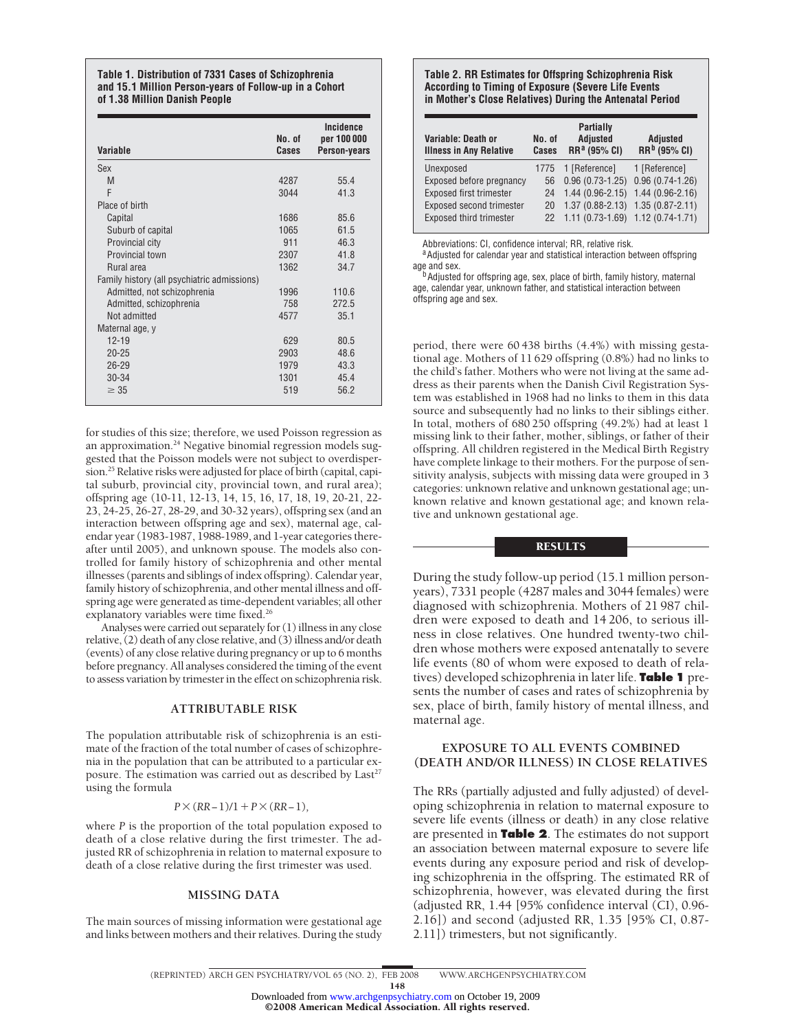#### **Table 1. Distribution of 7331 Cases of Schizophrenia and 15.1 Million Person-years of Follow-up in a Cohort of 1.38 Million Danish People**

| <b>Variable</b>                             | No. of<br>Cases | Incidence<br>per 100 000<br>Person-years |
|---------------------------------------------|-----------------|------------------------------------------|
| Sex                                         |                 |                                          |
| M                                           | 4287            | 55.4                                     |
| F                                           | 3044            | 41.3                                     |
| Place of birth                              |                 |                                          |
| Capital                                     | 1686            | 85.6                                     |
| Suburb of capital                           | 1065            | 61.5                                     |
| Provincial city                             | 911             | 46.3                                     |
| Provincial town                             | 2307            | 41.8                                     |
| Rural area                                  | 1362            | 34.7                                     |
| Family history (all psychiatric admissions) |                 |                                          |
| Admitted, not schizophrenia                 | 1996            | 110.6                                    |
| Admitted, schizophrenia                     | 758             | 272.5                                    |
| Not admitted                                | 4577            | 35.1                                     |
| Maternal age, y                             |                 |                                          |
| $12 - 19$                                   | 629             | 80.5                                     |
| $20 - 25$                                   | 2903            | 48.6                                     |
| $26 - 29$                                   | 1979            | 43.3                                     |
| $30 - 34$                                   | 1301            | 45.4                                     |
| $\geq 35$                                   | 519             | 56.2                                     |

for studies of this size; therefore, we used Poisson regression as an approximation.<sup>24</sup> Negative binomial regression models suggested that the Poisson models were not subject to overdispersion.<sup>25</sup> Relative risks were adjusted for place of birth (capital, capital suburb, provincial city, provincial town, and rural area); offspring age (10-11, 12-13, 14, 15, 16, 17, 18, 19, 20-21, 22 23, 24-25, 26-27, 28-29, and 30-32 years), offspring sex (and an interaction between offspring age and sex), maternal age, calendar year (1983-1987, 1988-1989, and 1-year categories thereafter until 2005), and unknown spouse. The models also controlled for family history of schizophrenia and other mental illnesses (parents and siblings of index offspring). Calendar year, family history of schizophrenia, and other mental illness and offspring age were generated as time-dependent variables; all other explanatory variables were time fixed.<sup>26</sup>

Analyses were carried out separately for (1) illness in any close relative, (2) death of any close relative, and (3) illness and/or death (events) of any close relative during pregnancy or up to 6 months before pregnancy. All analyses considered the timing of the event to assess variation by trimester in the effect on schizophrenia risk.

## **ATTRIBUTABLE RISK**

The population attributable risk of schizophrenia is an estimate of the fraction of the total number of cases of schizophrenia in the population that can be attributed to a particular exposure. The estimation was carried out as described by  $Last^{27}$ using the formula

## *P*×(*RR*−1)/1 + *P*×(*RR*−1)*,*

where *P* is the proportion of the total population exposed to death of a close relative during the first trimester. The adjusted RR of schizophrenia in relation to maternal exposure to death of a close relative during the first trimester was used.

### **MISSING DATA**

The main sources of missing information were gestational age and links between mothers and their relatives. During the study

## **Table 2. RR Estimates for Offspring Schizophrenia Risk According to Timing of Exposure (Severe Life Events in Mother's Close Relatives) During the Antenatal Period**

| Variable: Death or<br><b>Illness in Any Relative</b> | No. of<br>Cases | <b>Partially</b><br><b>Adjusted</b><br>RR <sup>a</sup> (95% CI) | <b>Adjusted</b><br>RR <sup>b</sup> (95% CI) |
|------------------------------------------------------|-----------------|-----------------------------------------------------------------|---------------------------------------------|
| Unexposed                                            | 1775            | 1 [Reference]                                                   | 1 [Reference]                               |
| Exposed before pregnancy                             | 56              | $0.96(0.73-1.25)$                                               | $0.96(0.74-1.26)$                           |
| Exposed first trimester                              | 24              | $1.44(0.96-2.15)$                                               | $1.44(0.96-2.16)$                           |
| Exposed second trimester                             | 20              | $1.37(0.88-2.13)$                                               | $1.35(0.87 - 2.11)$                         |
| <b>Exposed third trimester</b>                       | 22              | $1.11(0.73-1.69)$ $1.12(0.74-1.71)$                             |                                             |

Abbreviations: CI, confidence interval; RR, relative risk.<br><sup>a</sup> Adjusted for calendar year and statistical interaction between offspring

age and sex. bAdjusted for offspring age, sex, place of birth, family history, maternal age, calendar year, unknown father, and statistical interaction between offspring age and sex.

period, there were 60 438 births (4.4%) with missing gestational age. Mothers of 11 629 offspring (0.8%) had no links to the child's father. Mothers who were not living at the same address as their parents when the Danish Civil Registration System was established in 1968 had no links to them in this data source and subsequently had no links to their siblings either. In total, mothers of 680 250 offspring (49.2%) had at least 1 missing link to their father, mother, siblings, or father of their offspring. All children registered in the Medical Birth Registry have complete linkage to their mothers. For the purpose of sensitivity analysis, subjects with missing data were grouped in 3 categories: unknown relative and unknown gestational age; unknown relative and known gestational age; and known relative and unknown gestational age.

## **RESULTS**

During the study follow-up period (15.1 million personyears), 7331 people (4287 males and 3044 females) were diagnosed with schizophrenia. Mothers of 21 987 children were exposed to death and 14 206, to serious illness in close relatives. One hundred twenty-two children whose mothers were exposed antenatally to severe life events (80 of whom were exposed to death of relatives) developed schizophrenia in later life. **Table 1** presents the number of cases and rates of schizophrenia by sex, place of birth, family history of mental illness, and maternal age.

## **EXPOSURE TO ALL EVENTS COMBINED (DEATH AND/OR ILLNESS) IN CLOSE RELATIVES**

The RRs (partially adjusted and fully adjusted) of developing schizophrenia in relation to maternal exposure to severe life events (illness or death) in any close relative are presented in **Table 2**. The estimates do not support an association between maternal exposure to severe life events during any exposure period and risk of developing schizophrenia in the offspring. The estimated RR of schizophrenia, however, was elevated during the first (adjusted RR, 1.44 [95% confidence interval (CI), 0.96 2.16]) and second (adjusted RR, 1.35 [95% CI, 0.87 2.11]) trimesters, but not significantly.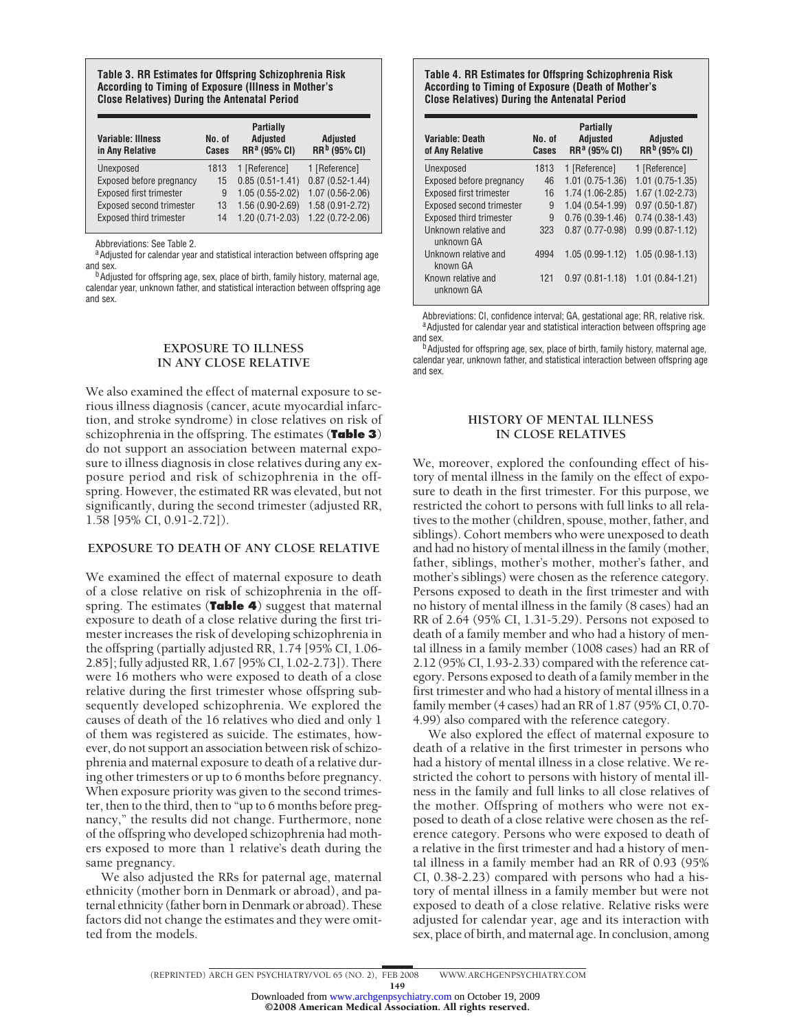## **Table 3. RR Estimates for Offspring Schizophrenia Risk Table 4. RR Estimates for Offspring Schizophrenia Risk According to Timing of Exposure (Illness in Mother's According to Timing of Exposure (Death of Mother's**

| Variable: Illness<br>in Any Relative | No. of<br>Cases | <b>Partially</b><br><b>Adjusted</b><br>RR <sup>a</sup> (95% CI) | <b>Adjusted</b><br>RR <sup>b</sup> (95% CI) |
|--------------------------------------|-----------------|-----------------------------------------------------------------|---------------------------------------------|
| Unexposed                            | 1813            | 1 [Reference]                                                   | 1 [Reference]                               |
| Exposed before pregnancy             | 15              | $0.85(0.51 - 1.41)$                                             | $0.87(0.52 - 1.44)$                         |
| Exposed first trimester              | 9               | $1.05(0.55 - 2.02)$                                             | $1.07(0.56-2.06)$                           |
| Exposed second trimester             | 13              | $1.56(0.90-2.69)$                                               | 1.58 (0.91-2.72)                            |
| <b>Exposed third trimester</b>       | 14              | 1.20 (0.71-2.03)                                                | 1.22 (0.72-2.06)                            |

Abbreviations: See Table 2.<br><sup>a</sup> Adjusted for calendar year and statistical interaction between offspring age and sex.

<sup>b</sup>Adjusted for offspring age, sex, place of birth, family history, maternal age, calendar year, unknown father, and statistical interaction between offspring age and sex.

## **EXPOSURE TO ILLNESS IN ANY CLOSE RELATIVE**

We also examined the effect of maternal exposure to serious illness diagnosis (cancer, acute myocardial infarction, and stroke syndrome) in close relatives on risk of schizophrenia in the offspring. The estimates (**Table 3**) do not support an association between maternal exposure to illness diagnosis in close relatives during any exposure period and risk of schizophrenia in the offspring. However, the estimated RR was elevated, but not significantly, during the second trimester (adjusted RR, 1.58 [95% CI, 0.91-2.72]).

## **EXPOSURE TO DEATH OF ANY CLOSE RELATIVE**

We examined the effect of maternal exposure to death of a close relative on risk of schizophrenia in the offspring. The estimates (**Table 4**) suggest that maternal exposure to death of a close relative during the first trimester increases the risk of developing schizophrenia in the offspring (partially adjusted RR, 1.74 [95% CI, 1.06 2.85]; fully adjusted RR, 1.67 [95% CI, 1.02-2.73]). There were 16 mothers who were exposed to death of a close relative during the first trimester whose offspring subsequently developed schizophrenia. We explored the causes of death of the 16 relatives who died and only 1 of them was registered as suicide. The estimates, however, do not support an association between risk of schizophrenia and maternal exposure to death of a relative during other trimesters or up to 6 months before pregnancy. When exposure priority was given to the second trimester, then to the third, then to "up to 6 months before pregnancy," the results did not change. Furthermore, none of the offspring who developed schizophrenia had mothers exposed to more than 1 relative's death during the same pregnancy.

We also adjusted the RRs for paternal age, maternal ethnicity (mother born in Denmark or abroad), and paternal ethnicity (father born in Denmark or abroad). These factors did not change the estimates and they were omitted from the models.

# **Close Relatives) During the Antenatal Period Close Relatives) During the Antenatal Period**

| Variable: Death<br>of Any Relative | No. of<br>Cases | <b>Partially</b><br><b>Adjusted</b><br>RR <sup>a</sup> (95% CI) | Adjusted<br>RR <sup>b</sup> (95% CI) |
|------------------------------------|-----------------|-----------------------------------------------------------------|--------------------------------------|
| Unexposed                          | 1813            | 1 [Reference]                                                   | 1 [Reference]                        |
| Exposed before pregnancy           | 46              | $1.01(0.75-1.36)$                                               | $1.01(0.75-1.35)$                    |
| <b>Exposed first trimester</b>     | 16              | $1.74(1.06-2.85)$                                               | $1.67(1.02 - 2.73)$                  |
| Exposed second trimester           | 9               | $1.04(0.54-1.99)$                                               | $0.97(0.50-1.87)$                    |
| <b>Exposed third trimester</b>     | 9               | $0.76(0.39-1.46)$                                               | $0.74(0.38-1.43)$                    |
| Unknown relative and<br>unknown GA | 323             | $0.87(0.77-0.98)$                                               | $0.99(0.87 - 1.12)$                  |
| Unknown relative and<br>known GA   | 4994            | $1.05(0.99-1.12)$                                               | $1.05(0.98-1.13)$                    |
| Known relative and<br>unknown GA   | 121             | $0.97(0.81 - 1.18)$                                             | $1.01(0.84-1.21)$                    |

Abbreviations: CI, confidence interval; GA, gestational age; RR, relative risk.<br><sup>a</sup> Adjusted for calendar year and statistical interaction between offspring age and sex.

**b**Adjusted for offspring age, sex, place of birth, family history, maternal age, calendar year, unknown father, and statistical interaction between offspring age and sex.

## **HISTORY OF MENTAL ILLNESS IN CLOSE RELATIVES**

We, moreover, explored the confounding effect of history of mental illness in the family on the effect of exposure to death in the first trimester. For this purpose, we restricted the cohort to persons with full links to all relatives to the mother (children, spouse, mother, father, and siblings). Cohort members who were unexposed to death and had no history of mental illness in the family (mother, father, siblings, mother's mother, mother's father, and mother's siblings) were chosen as the reference category. Persons exposed to death in the first trimester and with no history of mental illness in the family (8 cases) had an RR of 2.64 (95% CI, 1.31-5.29). Persons not exposed to death of a family member and who had a history of mental illness in a family member (1008 cases) had an RR of 2.12 (95% CI, 1.93-2.33) compared with the reference category. Persons exposed to death of a family member in the first trimester and who had a history of mental illness in a family member (4 cases) had an RR of 1.87 (95% CI, 0.70 4.99) also compared with the reference category.

We also explored the effect of maternal exposure to death of a relative in the first trimester in persons who had a history of mental illness in a close relative. We restricted the cohort to persons with history of mental illness in the family and full links to all close relatives of the mother. Offspring of mothers who were not exposed to death of a close relative were chosen as the reference category. Persons who were exposed to death of a relative in the first trimester and had a history of mental illness in a family member had an RR of 0.93 (95% CI, 0.38-2.23) compared with persons who had a history of mental illness in a family member but were not exposed to death of a close relative. Relative risks were adjusted for calendar year, age and its interaction with sex, place of birth, and maternal age. In conclusion, among

149

Downloaded from [www.archgenpsychiatry.com](http://www.archgenpsychiatry.com) on October 19, 2009 ©2008 American Medical Association. All rights reserved.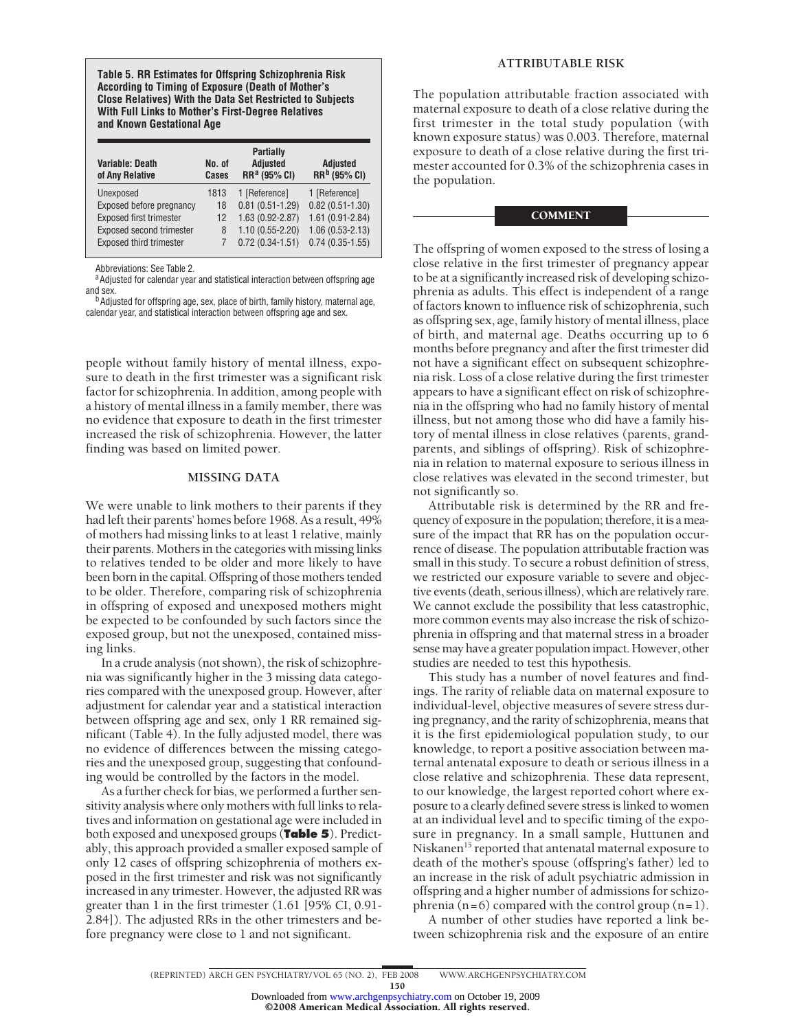**Table 5. RR Estimates for Offspring Schizophrenia Risk According to Timing of Exposure (Death of Mother's Close Relatives) With the Data Set Restricted to Subjects With Full Links to Mother's First-Degree Relatives and Known Gestational Age**

| <b>Variable: Death</b><br>of Any Relative | No. of<br>Cases | <b>Partially</b><br><b>Adjusted</b><br>RR <sup>a</sup> (95% CI) | <b>Adjusted</b><br>RR <sup>b</sup> (95% CI) |
|-------------------------------------------|-----------------|-----------------------------------------------------------------|---------------------------------------------|
| Unexposed                                 | 1813            | 1 [Reference]                                                   | 1 [Reference]                               |
| Exposed before pregnancy                  | 18              | $0.81(0.51-1.29)$                                               | $0.82(0.51 - 1.30)$                         |
| <b>Exposed first trimester</b>            | 12              | $1.63(0.92 - 2.87)$                                             | 1.61 (0.91-2.84)                            |
| <b>Exposed second trimester</b>           | 8               | $1.10(0.55 - 2.20)$                                             | $1.06(0.53 - 2.13)$                         |
| <b>Exposed third trimester</b>            |                 | $0.72(0.34-1.51)$                                               | $0.74(0.35-1.55)$                           |

Abbreviations: See Table 2.<br><sup>a</sup>Adjusted for calendar year and statistical interaction between offspring age and sex.

b Adjusted for offspring age, sex, place of birth, family history, maternal age, calendar year, and statistical interaction between offspring age and sex.

people without family history of mental illness, exposure to death in the first trimester was a significant risk factor for schizophrenia. In addition, among people with a history of mental illness in a family member, there was no evidence that exposure to death in the first trimester increased the risk of schizophrenia. However, the latter finding was based on limited power.

## **MISSING DATA**

We were unable to link mothers to their parents if they had left their parents' homes before 1968. As a result, 49% of mothers had missing links to at least 1 relative, mainly their parents. Mothers in the categories with missing links to relatives tended to be older and more likely to have been born in the capital. Offspring of those mothers tended to be older. Therefore, comparing risk of schizophrenia in offspring of exposed and unexposed mothers might be expected to be confounded by such factors since the exposed group, but not the unexposed, contained missing links.

In a crude analysis (not shown), the risk of schizophrenia was significantly higher in the 3 missing data categories compared with the unexposed group. However, after adjustment for calendar year and a statistical interaction between offspring age and sex, only 1 RR remained significant (Table 4). In the fully adjusted model, there was no evidence of differences between the missing categories and the unexposed group, suggesting that confounding would be controlled by the factors in the model.

As a further check for bias, we performed a further sensitivity analysis where only mothers with full links to relatives and information on gestational age were included in both exposed and unexposed groups (**Table 5**). Predictably, this approach provided a smaller exposed sample of only 12 cases of offspring schizophrenia of mothers exposed in the first trimester and risk was not significantly increased in any trimester. However, the adjusted RR was greater than 1 in the first trimester (1.61 [95% CI, 0.91 2.84]). The adjusted RRs in the other trimesters and before pregnancy were close to 1 and not significant.

## **ATTRIBUTABLE RISK**

The population attributable fraction associated with maternal exposure to death of a close relative during the first trimester in the total study population (with known exposure status) was 0.003. Therefore, maternal exposure to death of a close relative during the first trimester accounted for 0.3% of the schizophrenia cases in the population.

## COMMENT

The offspring of women exposed to the stress of losing a close relative in the first trimester of pregnancy appear to be at a significantly increased risk of developing schizophrenia as adults. This effect is independent of a range of factors known to influence risk of schizophrenia, such as offspring sex, age, family history of mental illness, place of birth, and maternal age. Deaths occurring up to 6 months before pregnancy and after the first trimester did not have a significant effect on subsequent schizophrenia risk. Loss of a close relative during the first trimester appears to have a significant effect on risk of schizophrenia in the offspring who had no family history of mental illness, but not among those who did have a family history of mental illness in close relatives (parents, grandparents, and siblings of offspring). Risk of schizophrenia in relation to maternal exposure to serious illness in close relatives was elevated in the second trimester, but not significantly so.

Attributable risk is determined by the RR and frequency of exposure in the population; therefore, it is a measure of the impact that RR has on the population occurrence of disease. The population attributable fraction was small in this study. To secure a robust definition of stress, we restricted our exposure variable to severe and objective events (death, serious illness), which are relatively rare. We cannot exclude the possibility that less catastrophic, more common events may also increase the risk of schizophrenia in offspring and that maternal stress in a broader sense may have a greater population impact. However, other studies are needed to test this hypothesis.

This study has a number of novel features and findings. The rarity of reliable data on maternal exposure to individual-level, objective measures of severe stress during pregnancy, and the rarity of schizophrenia, means that it is the first epidemiological population study, to our knowledge, to report a positive association between maternal antenatal exposure to death or serious illness in a close relative and schizophrenia. These data represent, to our knowledge, the largest reported cohort where exposure to a clearly defined severe stress is linked to women at an individual level and to specific timing of the exposure in pregnancy. In a small sample, Huttunen and Niskanen<sup>15</sup> reported that antenatal maternal exposure to death of the mother's spouse (offspring's father) led to an increase in the risk of adult psychiatric admission in offspring and a higher number of admissions for schizophrenia (n=6) compared with the control group (n=1).

A number of other studies have reported a link between schizophrenia risk and the exposure of an entire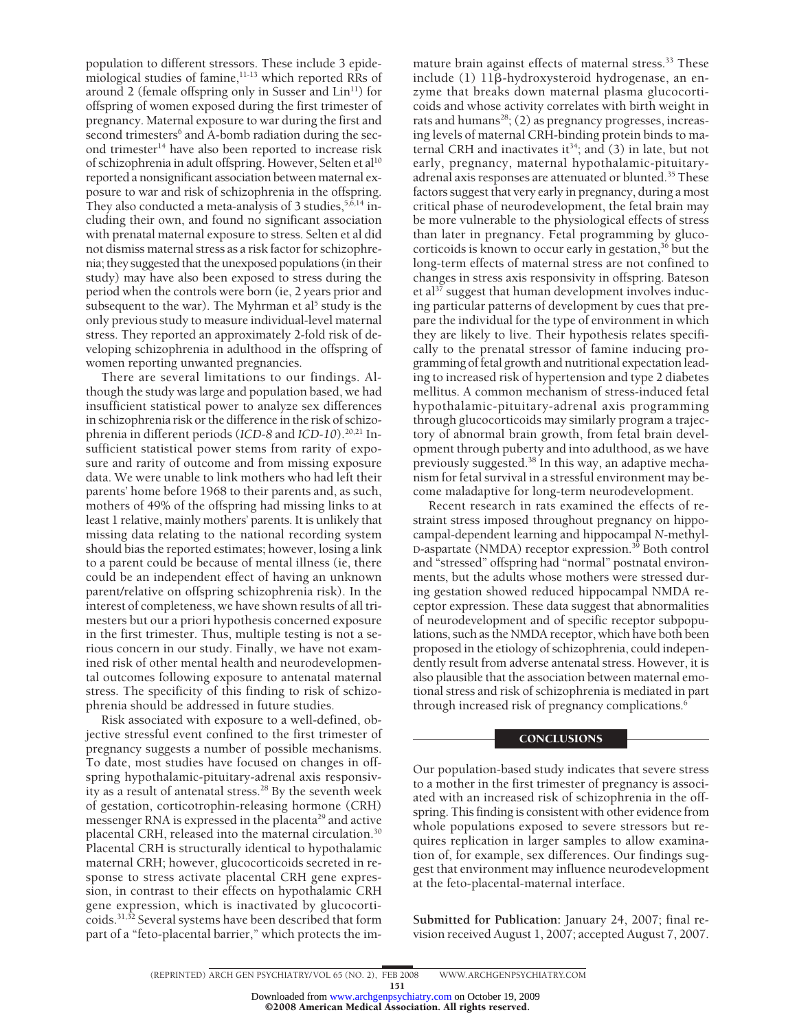population to different stressors. These include 3 epidemiological studies of famine, $11-13$  which reported RRs of around 2 (female offspring only in Susser and  $Lin<sup>11</sup>$ ) for offspring of women exposed during the first trimester of pregnancy. Maternal exposure to war during the first and second trimesters<sup>6</sup> and A-bomb radiation during the second trimester<sup>14</sup> have also been reported to increase risk of schizophrenia in adult offspring. However, Selten et al<sup>10</sup> reported a nonsignificant association between maternal exposure to war and risk of schizophrenia in the offspring. They also conducted a meta-analysis of 3 studies,  $5,6,14$  including their own, and found no significant association with prenatal maternal exposure to stress. Selten et al did not dismiss maternal stress as a risk factor for schizophrenia; they suggested that the unexposed populations (in their study) may have also been exposed to stress during the period when the controls were born (ie, 2 years prior and subsequent to the war). The Myhrman et al<sup>5</sup> study is the only previous study to measure individual-level maternal stress. They reported an approximately 2-fold risk of developing schizophrenia in adulthood in the offspring of women reporting unwanted pregnancies.

There are several limitations to our findings. Although the study was large and population based, we had insufficient statistical power to analyze sex differences in schizophrenia risk or the difference in the risk of schizophrenia in different periods (*ICD-8* and *ICD-10*).20,21 Insufficient statistical power stems from rarity of exposure and rarity of outcome and from missing exposure data. We were unable to link mothers who had left their parents' home before 1968 to their parents and, as such, mothers of 49% of the offspring had missing links to at least 1 relative, mainly mothers' parents. It is unlikely that missing data relating to the national recording system should bias the reported estimates; however, losing a link to a parent could be because of mental illness (ie, there could be an independent effect of having an unknown parent/relative on offspring schizophrenia risk). In the interest of completeness, we have shown results of all trimesters but our a priori hypothesis concerned exposure in the first trimester. Thus, multiple testing is not a serious concern in our study. Finally, we have not examined risk of other mental health and neurodevelopmental outcomes following exposure to antenatal maternal stress. The specificity of this finding to risk of schizophrenia should be addressed in future studies.

Risk associated with exposure to a well-defined, objective stressful event confined to the first trimester of pregnancy suggests a number of possible mechanisms. To date, most studies have focused on changes in offspring hypothalamic-pituitary-adrenal axis responsivity as a result of antenatal stress.<sup>28</sup> By the seventh week of gestation, corticotrophin-releasing hormone (CRH) messenger RNA is expressed in the placenta<sup>29</sup> and active placental CRH, released into the maternal circulation.30 Placental CRH is structurally identical to hypothalamic maternal CRH; however, glucocorticoids secreted in response to stress activate placental CRH gene expression, in contrast to their effects on hypothalamic CRH gene expression, which is inactivated by glucocorticoids.31,32 Several systems have been described that form part of a "feto-placental barrier," which protects the im-

mature brain against effects of maternal stress.<sup>33</sup> These include (1) 11�-hydroxysteroid hydrogenase, an enzyme that breaks down maternal plasma glucocorticoids and whose activity correlates with birth weight in rats and humans<sup>28</sup>; (2) as pregnancy progresses, increasing levels of maternal CRH-binding protein binds to maternal CRH and inactivates it<sup>34</sup>; and (3) in late, but not early, pregnancy, maternal hypothalamic-pituitaryadrenal axis responses are attenuated or blunted.<sup>35</sup> These factors suggest that very early in pregnancy, during a most critical phase of neurodevelopment, the fetal brain may be more vulnerable to the physiological effects of stress than later in pregnancy. Fetal programming by glucocorticoids is known to occur early in gestation,  $36$  but the long-term effects of maternal stress are not confined to changes in stress axis responsivity in offspring. Bateson et al $37$  suggest that human development involves inducing particular patterns of development by cues that prepare the individual for the type of environment in which they are likely to live. Their hypothesis relates specifically to the prenatal stressor of famine inducing programming of fetal growth and nutritional expectation leading to increased risk of hypertension and type 2 diabetes mellitus. A common mechanism of stress-induced fetal hypothalamic-pituitary-adrenal axis programming through glucocorticoids may similarly program a trajectory of abnormal brain growth, from fetal brain development through puberty and into adulthood, as we have previously suggested.38 In this way, an adaptive mechanism for fetal survival in a stressful environment may become maladaptive for long-term neurodevelopment.

Recent research in rats examined the effects of restraint stress imposed throughout pregnancy on hippocampal-dependent learning and hippocampal *N*-methyl-D-aspartate (NMDA) receptor expression.<sup>39</sup> Both control and "stressed" offspring had "normal" postnatal environments, but the adults whose mothers were stressed during gestation showed reduced hippocampal NMDA receptor expression. These data suggest that abnormalities of neurodevelopment and of specific receptor subpopulations, such as the NMDA receptor, which have both been proposed in the etiology of schizophrenia, could independently result from adverse antenatal stress. However, it is also plausible that the association between maternal emotional stress and risk of schizophrenia is mediated in part through increased risk of pregnancy complications.<sup>6</sup>

## **CONCLUSIONS**

Our population-based study indicates that severe stress to a mother in the first trimester of pregnancy is associated with an increased risk of schizophrenia in the offspring. This finding is consistent with other evidence from whole populations exposed to severe stressors but requires replication in larger samples to allow examination of, for example, sex differences. Our findings suggest that environment may influence neurodevelopment at the feto-placental-maternal interface.

**Submitted for Publication:** January 24, 2007; final revision received August 1, 2007; accepted August 7, 2007.

Downloaded from [www.archgenpsychiatry.com](http://www.archgenpsychiatry.com) on October 19, 2009